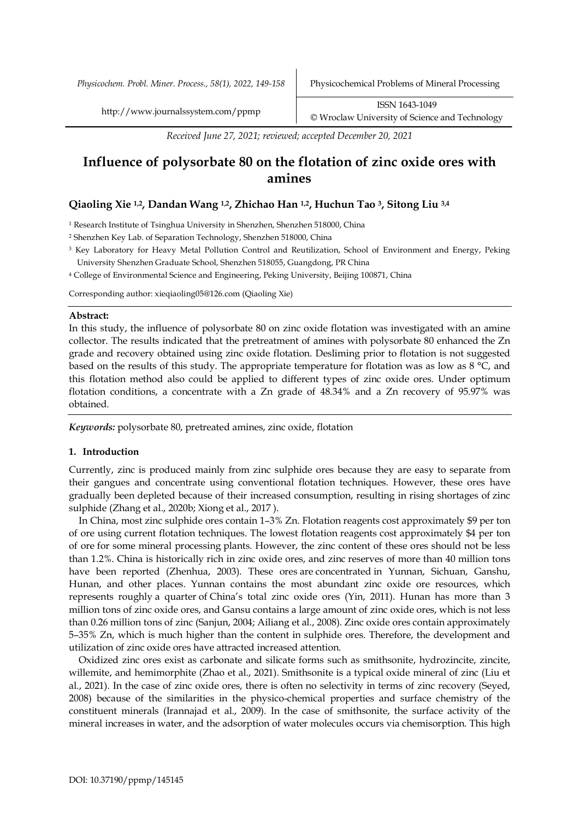*Physicochem. Probl. Miner. Process., 58(1), 2022, 149-158* Physicochemical Problems of Mineral Processing

*Received June 27, 2021; reviewed; accepted December 20, 2021*

# **Influence of polysorbate 80 on the flotation of zinc oxide ores with amines**

# **Qiaoling Xie 1,2, Dandan Wang 1,2, Zhichao Han 1,2, Huchun Tao 3, Sitong Liu 3,4**

<sup>1</sup> Research Institute of Tsinghua University in Shenzhen, Shenzhen 518000, China

<sup>2</sup> Shenzhen Key Lab. of Separation Technology, Shenzhen 518000, China

- <sup>3</sup> Key Laboratory for Heavy Metal Pollution Control and Reutilization, School of Environment and Energy, Peking University Shenzhen Graduate School, Shenzhen 518055, Guangdong, PR China
- <sup>4</sup> College of Environmental Science and Engineering, Peking University, Beijing 100871, China

Corresponding author: xieqiaoling05@126.com (Qiaoling Xie)

# **Abstract:**

In this study, the influence of polysorbate 80 on zinc oxide flotation was investigated with an amine collector. The results indicated that the pretreatment of amines with polysorbate 80 enhanced the Zn grade and recovery obtained using zinc oxide flotation. Desliming prior to flotation is not suggested based on the results of this study. The appropriate temperature for flotation was as low as 8 °C, and this flotation method also could be applied to different types of zinc oxide ores. Under optimum flotation conditions, a concentrate with a Zn grade of 48.34% and a Zn recovery of 95.97% was obtained.

*Keywords:* polysorbate 80, pretreated amines, zinc oxide, flotation

# **1. Introduction**

Currently, zinc is produced mainly from zinc sulphide ores because they are easy to separate from their gangues and concentrate using conventional flotation techniques. However, these ores have gradually been depleted because of their increased consumption, resulting in rising shortages of zinc sulphide (Zhang et al., 2020b; Xiong et al., 2017 ).

In China, most zinc sulphide ores contain 1–3% Zn. Flotation reagents cost approximately \$9 per ton of ore using current flotation techniques. The lowest flotation reagents cost approximately \$4 per ton of ore for some mineral processing plants. However, the zinc content of these ores should not be less than 1.2%. China is historically rich in zinc oxide ores, and zinc reserves of more than 40 million tons have been reported (Zhenhua, 2003). These ores are concentrated in Yunnan, Sichuan, Ganshu, Hunan, and other places. Yunnan contains the most abundant zinc oxide ore resources, which represents roughly a quarter of China's total zinc oxide ores (Yin, 2011). Hunan has more than 3 million tons of zinc oxide ores, and Gansu contains a large amount of zinc oxide ores, which is not less than 0.26 million tons of zinc (Sanjun, 2004; Ailiang et al., 2008). Zinc oxide ores contain approximately 5–35% Zn, which is much higher than the content in sulphide ores. Therefore, the development and utilization of zinc oxide ores have attracted increased attention.

Oxidized zinc ores exist as carbonate and silicate forms such as smithsonite, hydrozincite, zincite, willemite, and hemimorphite (Zhao et al., 2021). Smithsonite is a typical oxide mineral of zinc (Liu et al., 2021). In the case of zinc oxide ores, there is often no selectivity in terms of zinc recovery (Seyed, 2008) because of the similarities in the physico-chemical properties and surface chemistry of the constituent minerals (Irannajad et al., 2009). In the case of smithsonite, the surface activity of the mineral increases in water, and the adsorption of water molecules occurs via chemisorption. This high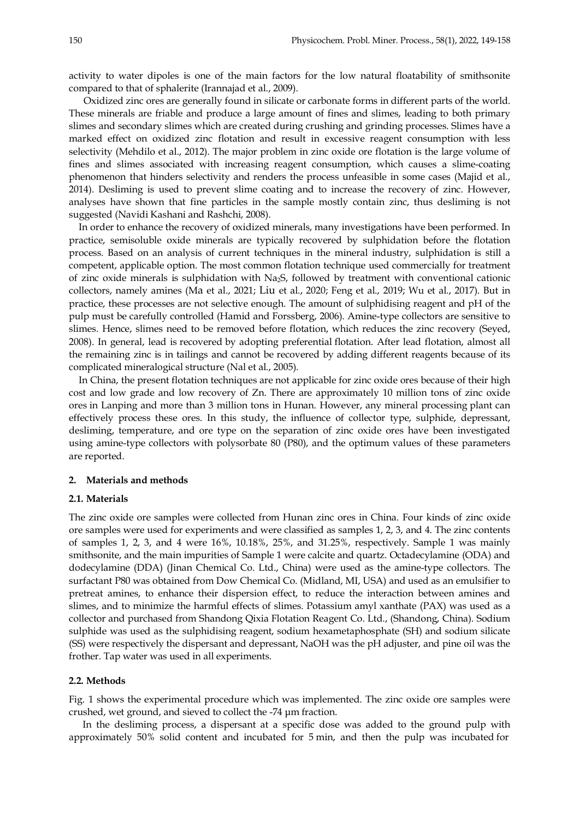activity to water dipoles is one of the main factors for the low natural floatability of smithsonite compared to that of sphalerite (Irannajad et al., 2009).

Oxidized zinc ores are generally found in silicate or carbonate forms in different parts of the world. These minerals are friable and produce a large amount of fines and slimes, leading to both primary slimes and secondary slimes which are created during crushing and grinding processes. Slimes have a marked effect on oxidized zinc flotation and result in excessive reagent consumption with less selectivity (Mehdilo et al., 2012). The major problem in zinc oxide ore flotation is the large volume of fines and slimes associated with increasing reagent consumption, which causes a slime-coating phenomenon that hinders selectivity and renders the process unfeasible in some cases (Majid et al., 2014). Desliming is used to prevent slime coating and to increase the recovery of zinc. However, analyses have shown that fine particles in the sample mostly contain zinc, thus desliming is not suggested (Navidi Kashani and Rashchi, 2008).

In order to enhance the recovery of oxidized minerals, many investigations have been performed. In practice, semisoluble oxide minerals are typically recovered by sulphidation before the flotation process. Based on an analysis of current techniques in the mineral industry, sulphidation is still a competent, applicable option. The most common flotation technique used commercially for treatment of zinc oxide minerals is sulphidation with Na2S, followed by treatment with conventional cationic collectors, namely amines (Ma et al., 2021; Liu et al., 2020; Feng et al., 2019; Wu et al., 2017). But in practice, these processes are not selective enough. The amount of sulphidising reagent and pH of the pulp must be carefully controlled (Hamid and Forssberg, 2006). Amine-type collectors are sensitive to slimes. Hence, slimes need to be removed before flotation, which reduces the zinc recovery (Seyed, 2008). In general, lead is recovered by adopting preferential flotation. After lead flotation, almost all the remaining zinc is in tailings and cannot be recovered by adding different reagents because of its complicated mineralogical structure (Nal et al., 2005).

In China, the present flotation techniques are not applicable for zinc oxide ores because of their high cost and low grade and low recovery of Zn. There are approximately 10 million tons of zinc oxide ores in Lanping and more than 3 million tons in Hunan. However, any mineral processing plant can effectively process these ores. In this study, the influence of collector type, sulphide, depressant, desliming, temperature, and ore type on the separation of zinc oxide ores have been investigated using amine-type collectors with polysorbate 80 (P80), and the optimum values of these parameters are reported.

#### **2. Materials and methods**

#### **2.1. Materials**

The zinc oxide ore samples were collected from Hunan zinc ores in China. Four kinds of zinc oxide ore samples were used for experiments and were classified as samples 1, 2, 3, and 4. The zinc contents of samples 1, 2, 3, and 4 were 16%, 10.18%, 25%, and 31.25%, respectively. Sample 1 was mainly smithsonite, and the main impurities of Sample 1 were calcite and quartz. Octadecylamine (ODA) and dodecylamine (DDA) (Jinan Chemical Co. Ltd., China) were used as the amine-type collectors. The surfactant P80 was obtained from Dow Chemical Co. (Midland, MI, USA) and used as an emulsifier to pretreat amines, to enhance their dispersion effect, to reduce the interaction between amines and slimes, and to minimize the harmful effects of slimes. Potassium amyl xanthate (PAX) was used as a collector and purchased from Shandong Qixia Flotation Reagent Co. Ltd., (Shandong, China). Sodium sulphide was used as the sulphidising reagent, sodium hexametaphosphate (SH) and sodium silicate (SS) were respectively the dispersant and depressant, NaOH was the pH adjuster, and pine oil was the frother. Tap water was used in all experiments.

#### **2.2. Methods**

Fig. 1 shows the experimental procedure which was implemented. The zinc oxide ore samples were crushed, wet ground, and sieved to collect the -74 µm fraction.

In the desliming process, a dispersant at a specific dose was added to the ground pulp with approximately 50% solid content and incubated for 5 min, and then the pulp was incubated for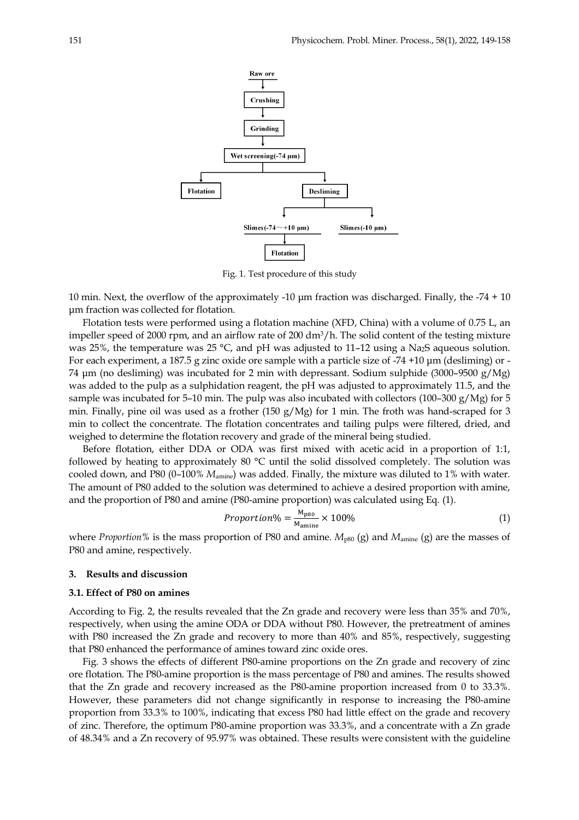

Fig. 1. Test procedure of this study

10 min. Next, the overflow of the approximately -10 µm fraction was discharged. Finally, the -74 + 10 µm fraction was collected for flotation.

Flotation tests were performed using a flotation machine (XFD, China) with a volume of 0.75 L, an impeller speed of 2000 rpm, and an airflow rate of 200 dm3/h. The solid content of the testing mixture was 25%, the temperature was 25 °C, and pH was adjusted to 11–12 using a Na<sub>2</sub>S aqueous solution. For each experiment, a 187.5 g zinc oxide ore sample with a particle size of -74 +10 µm (desliming) or - 74 µm (no desliming) was incubated for 2 min with depressant. Sodium sulphide (3000–9500 g/Mg) was added to the pulp as a sulphidation reagent, the pH was adjusted to approximately 11.5, and the sample was incubated for 5-10 min. The pulp was also incubated with collectors (100-300 g/Mg) for 5 min. Finally, pine oil was used as a frother (150 g/Mg) for 1 min. The froth was hand-scraped for 3 min to collect the concentrate. The flotation concentrates and tailing pulps were filtered, dried, and weighed to determine the flotation recovery and grade of the mineral being studied.

Before flotation, either DDA or ODA was first mixed with acetic acid in a proportion of 1:1, followed by heating to approximately 80 °C until the solid dissolved completely. The solution was cooled down, and P80 (0–100% *M*amine) was added. Finally, the mixture was diluted to 1% with water. The amount of P80 added to the solution was determined to achieve a desired proportion with amine, and the proportion of P80 and amine (P80-amine proportion) was calculated using Eq. (1).

$$
Proportion\% = \frac{M_{p80}}{M_{\text{amine}}} \times 100\%
$$
\n(1)

where *Proportion*% is the mass proportion of P80 and amine.  $M_{p80}$  (g) and  $M_{\text{amine}}$  (g) are the masses of P80 and amine, respectively.

### **3. Results and discussion**

#### **3.1. Effect of P80 on amines**

According to Fig. 2, the results revealed that the Zn grade and recovery were less than 35% and 70%, respectively, when using the amine ODA or DDA without P80. However, the pretreatment of amines with P80 increased the Zn grade and recovery to more than 40% and 85%, respectively, suggesting that P80 enhanced the performance of amines toward zinc oxide ores.

Fig. 3 shows the effects of different P80-amine proportions on the Zn grade and recovery of zinc ore flotation. The P80-amine proportion is the mass percentage of P80 and amines. The results showed that the Zn grade and recovery increased as the P80-amine proportion increased from 0 to 33.3%. However, these parameters did not change significantly in response to increasing the P80-amine proportion from 33.3% to 100%, indicating that excess P80 had little effect on the grade and recovery of zinc. Therefore, the optimum P80-amine proportion was 33.3%, and a concentrate with a Zn grade of 48.34% and a Zn recovery of 95.97% was obtained. These results were consistent with the guideline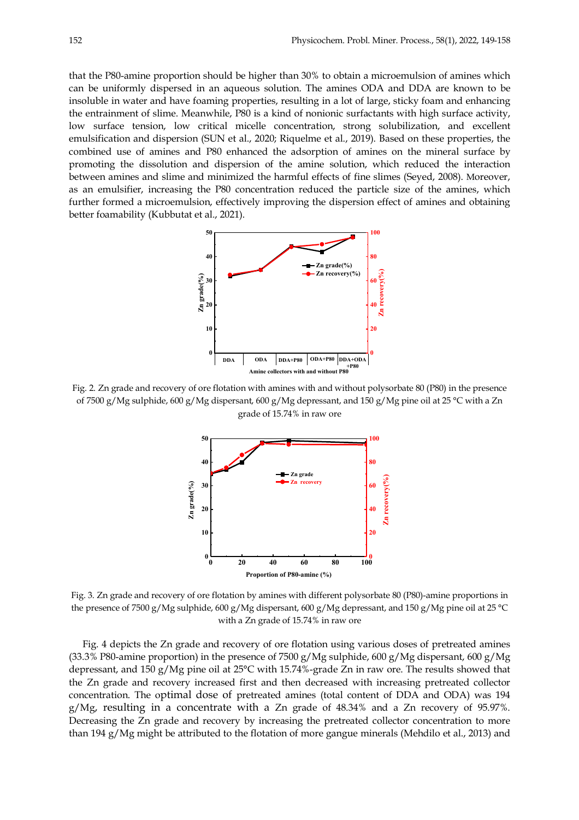that the P80-amine proportion should be higher than 30% to obtain a microemulsion of amines which can be uniformly dispersed in an aqueous solution. The amines ODA and DDA are known to be insoluble in water and have foaming properties, resulting in a lot of large, sticky foam and enhancing the entrainment of slime. Meanwhile, P80 is a kind of nonionic surfactants with high surface activity, low surface tension, low critical micelle concentration, strong solubilization, and excellent emulsification and dispersion (SUN et al., 2020; Riquelme et al., 2019). Based on these properties, the combined use of amines and P80 enhanced the adsorption of amines on the mineral surface by promoting the dissolution and dispersion of the amine solution, which reduced the interaction between amines and slime and minimized the harmful effects of fine slimes (Seyed, 2008). Moreover, as an emulsifier, increasing the P80 concentration reduced the particle size of the amines, which further formed a microemulsion, effectively improving the dispersion effect of amines and obtaining better foamability (Kubbutat et al., 2021).



Fig. 2. Zn grade and recovery of ore flotation with amines with and without polysorbate 80 (P80) in the presence of 7500 g/Mg sulphide, 600 g/Mg dispersant, 600 g/Mg depressant, and 150 g/Mg pine oil at 25 °C with a Zn grade of 15.74% in raw ore



Fig. 3. Zn grade and recovery of ore flotation by amines with different polysorbate 80 (P80)-amine proportions in the presence of 7500 g/Mg sulphide, 600 g/Mg dispersant, 600 g/Mg depressant, and 150 g/Mg pine oil at 25 °C with a Zn grade of 15.74% in raw ore

Fig. 4 depicts the Zn grade and recovery of ore flotation using various doses of pretreated amines (33.3% P80-amine proportion) in the presence of 7500 g/Mg sulphide, 600 g/Mg dispersant, 600 g/Mg depressant, and 150 g/Mg pine oil at 25°C with 15.74%-grade Zn in raw ore. The results showed that the Zn grade and recovery increased first and then decreased with increasing pretreated collector concentration. The optimal dose of pretreated amines (total content of DDA and ODA) was 194 g/Mg, resulting in a concentrate with a Zn grade of 48.34% and a Zn recovery of 95.97%. Decreasing the Zn grade and recovery by increasing the pretreated collector concentration to more than 194 g/Mg might be attributed to the flotation of more gangue minerals (Mehdilo et al., 2013) and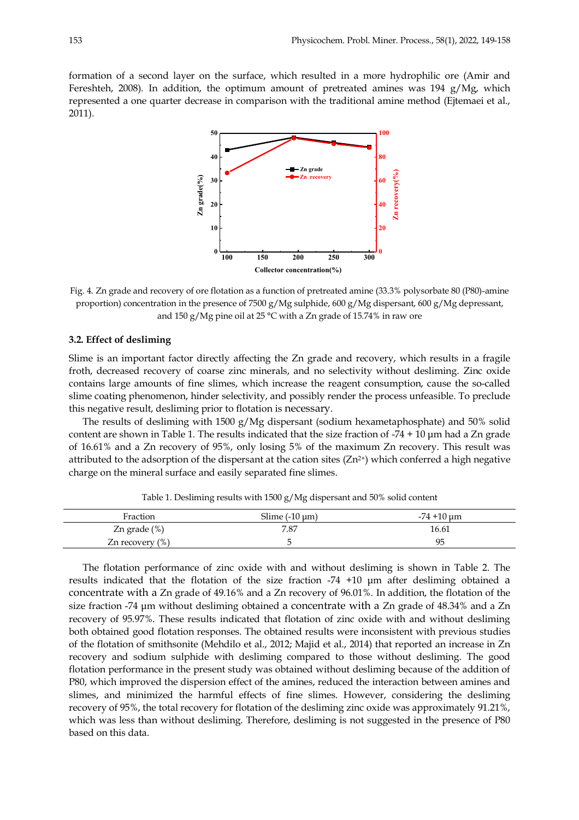formation of a second layer on the surface, which resulted in a more hydrophilic ore (Amir and Fereshteh, 2008). In addition, the optimum amount of pretreated amines was 194  $g/Mg$ , which represented a one quarter decrease in comparison with the traditional amine method (Ejtemaei et al., 2011).



Fig. 4. Zn grade and recovery of ore flotation as a function of pretreated amine (33.3% polysorbate 80 (P80)-amine proportion) concentration in the presence of 7500 g/Mg sulphide, 600 g/Mg dispersant, 600 g/Mg depressant, and 150 g/Mg pine oil at 25 °C with a Zn grade of 15.74% in raw ore

## **3.2. Effect of desliming**

Slime is an important factor directly affecting the Zn grade and recovery, which results in a fragile froth, decreased recovery of coarse zinc minerals, and no selectivity without desliming. Zinc oxide contains large amounts of fine slimes, which increase the reagent consumption, cause the so-called slime coating phenomenon, hinder selectivity, and possibly render the process unfeasible. To preclude this negative result, desliming prior to flotation is necessary.

The results of desliming with 1500 g/Mg dispersant (sodium hexametaphosphate) and 50% solid content are shown in Table 1. The results indicated that the size fraction of  $-74 + 10 \,\mu m$  had a Zn grade of 16.61% and a Zn recovery of 95%, only losing 5% of the maximum Zn recovery. This result was attributed to the adsorption of the dispersant at the cation sites  $(Zn^{2+})$  which conferred a high negative charge on the mineral surface and easily separated fine slimes.

| Fraction            | Slime $(-10 \mu m)$ | $-74 + 10 \,\mathrm{\upmu m}$ |
|---------------------|---------------------|-------------------------------|
| Zn grade $(\%)$     | 7.87                | 16.61                         |
| Zn recovery $(\% )$ |                     | 95                            |

Table 1. Desliming results with 1500 g/Mg dispersant and 50% solid content

The flotation performance of zinc oxide with and without desliming is shown in Table 2. The results indicated that the flotation of the size fraction -74 +10 µm after desliming obtained a concentrate with a Zn grade of 49.16% and a Zn recovery of 96.01%. In addition, the flotation of the size fraction -74 µm without desliming obtained a concentrate with a Zn grade of 48.34% and a Zn recovery of 95.97%. These results indicated that flotation of zinc oxide with and without desliming both obtained good flotation responses. The obtained results were inconsistent with previous studies of the flotation of smithsonite (Mehdilo et al., 2012; Majid et al., 2014) that reported an increase in Zn recovery and sodium sulphide with desliming compared to those without desliming. The good flotation performance in the present study was obtained without desliming because of the addition of P80, which improved the dispersion effect of the amines, reduced the interaction between amines and slimes, and minimized the harmful effects of fine slimes. However, considering the desliming recovery of 95%, the total recovery for flotation of the desliming zinc oxide was approximately 91.21%, which was less than without desliming. Therefore, desliming is not suggested in the presence of P80 based on this data.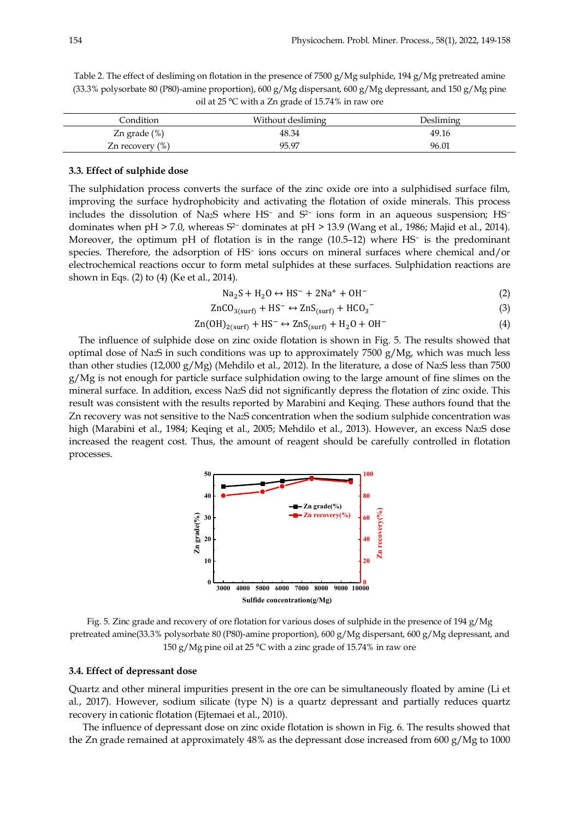Table 2. The effect of desliming on flotation in the presence of 7500 g/Mg sulphide, 194 g/Mg pretreated amine (33.3% polysorbate 80 (P80)-amine proportion), 600 g/Mg dispersant, 600 g/Mg depressant, and 150 g/Mg pine oil at 25 °C with a Zn grade of 15.74% in raw ore

| Condition          | Without desliming | Desliming |
|--------------------|-------------------|-----------|
| Zn grade $(\%)$    | 48.34             | 49.16     |
| Zn recovery $(\%)$ | 95.97             | 96.01     |

#### **3.3. Effect of sulphide dose**

The sulphidation process converts the surface of the zinc oxide ore into a sulphidised surface film, improving the surface hydrophobicity and activating the flotation of oxide minerals. This process includes the dissolution of Na2S where HS<sup>−</sup> and S2<sup>−</sup> ions form in an aqueous suspension; HS<sup>−</sup> dominates when pH > 7.0, whereas S<sup>2−</sup> dominates at pH > 13.9 (Wang et al., 1986; Majid et al., 2014). Moreover, the optimum pH of flotation is in the range (10.5–12) where HS<sup>−</sup> is the predominant species. Therefore, the adsorption of HS<sup>−</sup> ions occurs on mineral surfaces where chemical and/or electrochemical reactions occur to form metal sulphides at these surfaces. Sulphidation reactions are shown in Eqs. (2) to (4) (Ke et al., 2014).

 $\text{Na}_2\text{S} + \text{H}_2\text{O} \leftrightarrow \text{HS}^- + 2\text{Na}^+ + \text{OH}^-$  (2)

$$
ZnCO_{3(surf)} + HS^{-} \leftrightarrow ZnS_{(surf)} + HCO_{3}^{-} \tag{3}
$$

$$
Zn(OH)_{2(surf)} + HS^- \leftrightarrow ZnS_{(surf)} + H_2O + OH^-
$$
\n<sup>(4)</sup>

The influence of sulphide dose on zinc oxide flotation is shown in Fig. 5. The results showed that optimal dose of Na2S in such conditions was up to approximately  $7500 \text{ g}/\text{Mg}$ , which was much less than other studies (12,000 g/Mg) (Mehdilo et al., 2012). In the literature, a dose of Na2S less than 7500  $g/Mg$  is not enough for particle surface sulphidation owing to the large amount of fine slimes on the mineral surface. In addition, excess Na2S did not significantly depress the flotation of zinc oxide. This result was consistent with the results reported by Marabini and Keqing. These authors found that the Zn recovery was not sensitive to the Na2S concentration when the sodium sulphide concentration was high (Marabini et al., 1984; Keqing et al., 2005; Mehdilo et al., 2013). However, an excess Na2S dose increased the reagent cost. Thus, the amount of reagent should be carefully controlled in flotation processes.



Fig. 5. Zinc grade and recovery of ore flotation for various doses of sulphide in the presence of 194 g/Mg pretreated amine(33.3% polysorbate 80 (P80)-amine proportion), 600 g/Mg dispersant, 600 g/Mg depressant, and 150 g/Mg pine oil at 25 °C with a zinc grade of 15.74% in raw ore

## **3.4. Effect of depressant dose**

Quartz and other mineral impurities present in the ore can be simultaneously floated by amine (Li et al., 2017). However, sodium silicate (type N) is a quartz depressant and partially reduces quartz recovery in cationic flotation (Ejtemaei et al., 2010).

The influence of depressant dose on zinc oxide flotation is shown in Fig. 6. The results showed that the Zn grade remained at approximately  $48\%$  as the depressant dose increased from 600 g/Mg to 1000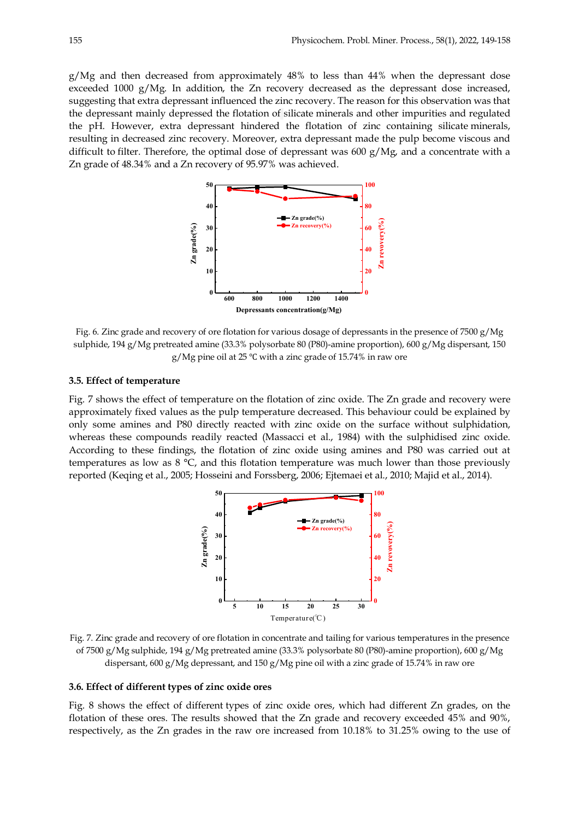g/Mg and then decreased from approximately 48% to less than 44% when the depressant dose exceeded 1000 g/Mg. In addition, the Zn recovery decreased as the depressant dose increased, suggesting that extra depressant influenced the zinc recovery. The reason for this observation was that the depressant mainly depressed the flotation of silicate minerals and other impurities and regulated the pH. However, extra depressant hindered the flotation of zinc containing silicate minerals, resulting in decreased zinc recovery. Moreover, extra depressant made the pulp become viscous and difficult to filter. Therefore, the optimal dose of depressant was  $600 \text{ g}/\text{Mg}$ , and a concentrate with a Zn grade of 48.34% and a Zn recovery of 95.97% was achieved.



Fig. 6. Zinc grade and recovery of ore flotation for various dosage of depressants in the presence of 7500 g/Mg sulphide, 194 g/Mg pretreated amine (33.3% polysorbate 80 (P80)-amine proportion), 600 g/Mg dispersant, 150 g/Mg pine oil at 25 ℃ with a zinc grade of 15.74% in raw ore

## **3.5. Effect of temperature**

Fig. 7 shows the effect of temperature on the flotation of zinc oxide. The Zn grade and recovery were approximately fixed values as the pulp temperature decreased. This behaviour could be explained by only some amines and P80 directly reacted with zinc oxide on the surface without sulphidation, whereas these compounds readily reacted (Massacci et al., 1984) with the sulphidised zinc oxide. According to these findings, the flotation of zinc oxide using amines and P80 was carried out at temperatures as low as 8 °C, and this flotation temperature was much lower than those previously reported (Keqing et al., 2005; Hosseini and Forssberg, 2006; Ejtemaei et al., 2010; Majid et al., 2014).



Fig. 7. Zinc grade and recovery of ore flotation in concentrate and tailing for various temperatures in the presence of 7500 g/Mg sulphide, 194 g/Mg pretreated amine (33.3% polysorbate 80 (P80)-amine proportion), 600 g/Mg dispersant, 600 g/Mg depressant, and 150 g/Mg pine oil with a zinc grade of 15.74% in raw ore

# **3.6. Effect of different types of zinc oxide ores**

Fig. 8 shows the effect of different types of zinc oxide ores, which had different Zn grades, on the flotation of these ores. The results showed that the Zn grade and recovery exceeded 45% and 90%, respectively, as the Zn grades in the raw ore increased from 10.18% to 31.25% owing to the use of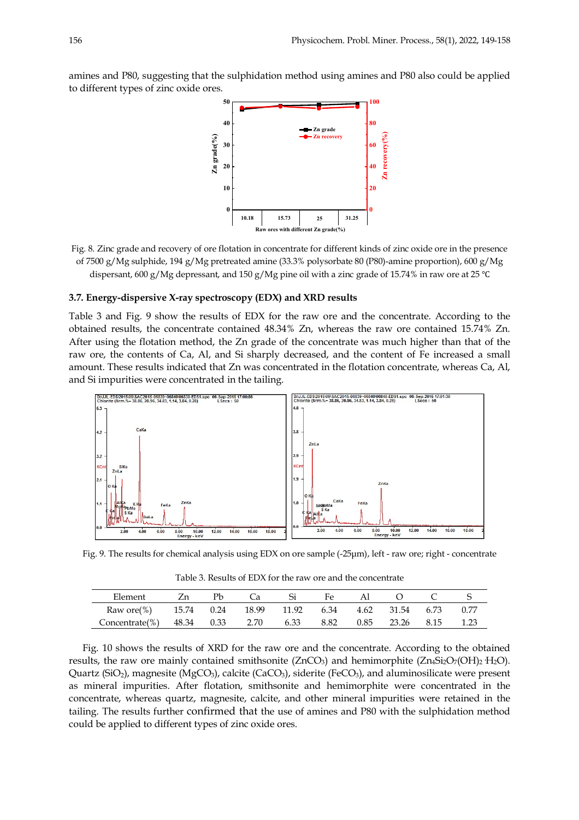amines and P80, suggesting that the sulphidation method using amines and P80 also could be applied to different types of zinc oxide ores.



Fig. 8. Zinc grade and recovery of ore flotation in concentrate for different kinds of zinc oxide ore in the presence of 7500 g/Mg sulphide, 194 g/Mg pretreated amine (33.3% polysorbate 80 (P80)-amine proportion), 600 g/Mg dispersant, 600 g/Mg depressant, and 150 g/Mg pine oil with a zinc grade of 15.74% in raw ore at 25 ℃

## **3.7. Energy-dispersive X-ray spectroscopy (EDX) and XRD results**

Table 3 and Fig. 9 show the results of EDX for the raw ore and the concentrate. According to the obtained results, the concentrate contained 48.34% Zn, whereas the raw ore contained 15.74% Zn. After using the flotation method, the Zn grade of the concentrate was much higher than that of the raw ore, the contents of Ca, Al, and Si sharply decreased, and the content of Fe increased a small amount. These results indicated that Zn was concentrated in the flotation concentrate, whereas Ca, Al, and Si impurities were concentrated in the tailing.



Fig. 9. The results for chemical analysis using EDX on ore sample (-25µm), left - raw ore; right - concentrate

Table 3. Results of EDX for the raw ore and the concentrate

| Element                                                     | Zn | Рb | Ca | Si | Fe. | Al | $\circ$ |      |
|-------------------------------------------------------------|----|----|----|----|-----|----|---------|------|
| Raw ore(%) 15.74 0.24 18.99 11.92 6.34 4.62 31.54 6.73 0.77 |    |    |    |    |     |    |         |      |
| Concentrate(%) 48.34 0.33 2.70 6.33 8.82 0.85 23.26 8.15    |    |    |    |    |     |    |         | 1.23 |

Fig. 10 shows the results of XRD for the raw ore and the concentrate. According to the obtained results, the raw ore mainly contained smithsonite ( $ZnCO<sub>3</sub>$ ) and hemimorphite ( $Zn_4Si<sub>2</sub>O<sub>7</sub>(OH)<sub>2</sub>H<sub>2</sub>O$ ). Quartz (SiO<sub>2</sub>), magnesite (MgCO<sub>3</sub>), calcite (CaCO<sub>3</sub>), siderite (FeCO<sub>3</sub>), and aluminosilicate were present as mineral impurities. After flotation, smithsonite and hemimorphite were concentrated in the concentrate, whereas quartz, magnesite, calcite, and other mineral impurities were retained in the tailing. The results further confirmed that the use of amines and P80 with the sulphidation method could be applied to different types of zinc oxide ores.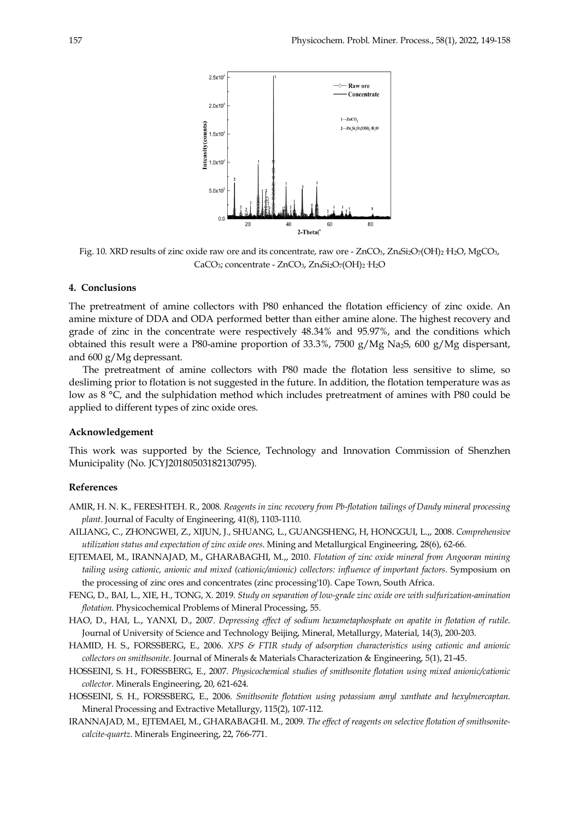

Fig. 10. XRD results of zinc oxide raw ore and its concentrate, raw ore - ZnCO<sub>3</sub>, Zn<sub>4</sub>Si<sub>2</sub>O<sub>7</sub>(OH)<sub>2</sub>·H<sub>2</sub>O, MgCO<sub>3</sub>,  $CaCO<sub>3</sub>$ ; concentrate -  $ZnCO<sub>3</sub>$ ,  $Zn<sub>4</sub>Si<sub>2</sub>O<sub>7</sub>(OH)<sub>2</sub>·H<sub>2</sub>O$ 

# **4. Conclusions**

The pretreatment of amine collectors with P80 enhanced the flotation efficiency of zinc oxide. An amine mixture of DDA and ODA performed better than either amine alone. The highest recovery and grade of zinc in the concentrate were respectively 48.34% and 95.97%, and the conditions which obtained this result were a P80-amine proportion of 33.3%, 7500 g/Mg Na2S, 600 g/Mg dispersant, and 600 g/Mg depressant.

The pretreatment of amine collectors with P80 made the flotation less sensitive to slime, so desliming prior to flotation is not suggested in the future. In addition, the flotation temperature was as low as 8 °C, and the sulphidation method which includes pretreatment of amines with P80 could be applied to different types of zinc oxide ores.

## **Acknowledgement**

This work was supported by the Science, Technology and Innovation Commission of Shenzhen Municipality (No. JCYJ20180503182130795).

# **References**

- AMIR, H. N. K., FERESHTEH. R., 2008. *Reagents in zinc recovery from Pb-flotation tailings of Dandy mineral processing plant*. Journal of Faculty of Engineering, 41(8), 1103-1110.
- AILIANG, C., ZHONGWEI, Z., XIJUN, J., SHUANG, L., GUANGSHENG, H, HONGGUI, L.,, 2008. *Comprehensive utilization status and expectation of zinc oxide ores*. Mining and Metallurgical Engineering, 28(6), 62-66.
- EJTEMAEI, M., IRANNAJAD, M., GHARABAGHI, M.,, 2010. *Flotation of zinc oxide mineral from Angooran mining tailing using cationic, anionic and mixed (cationic/anionic) collectors: influence of important factors*. Symposium on the processing of zinc ores and concentrates (zinc processing'10). Cape Town, South Africa.
- FENG, D., BAI, L., XIE, H., TONG, X. 2019. *Study on separation of low-grade zinc oxide ore with sulfurization-amination flotation*. Physicochemical Problems of Mineral Processing, 55.
- HAO, D., HAI, L., YANXI, D., 2007. *Depressing effect of sodium hexametaphosphate on apatite in flotation of rutile*. Journal of University of Science and Technology Beijing, Mineral, Metallurgy, Material, 14(3), 200-203.
- HAMID, H. S., FORSSBERG, E., 2006. *XPS & FTIR study of adsorption characteristics using cationic and anionic collectors on smithsonite*. Journal of Minerals & Materials Characterization & Engineering, 5(1), 21-45.
- HOSSEINI, S. H., FORSSBERG, E., 2007. *Physicochemical studies of smithsonite flotation using mixed anionic/cationic collector*. Minerals Engineering, 20, 621-624.
- HOSSEINI, S. H., FORSSBERG, E., 2006. *Smithsonite flotation using potassium amyl xanthate and hexylmercaptan*. Mineral Processing and Extractive Metallurgy, 115(2), 107-112.
- IRANNAJAD, M., EJTEMAEI, M., GHARABAGHI. M., 2009. *The effect of reagents on selective flotation of smithsonitecalcite-quartz*. Minerals Engineering, 22, 766-771.